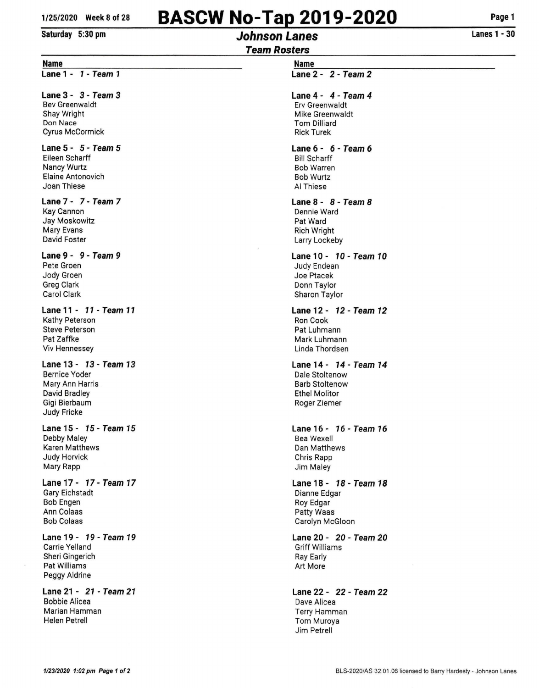# **BASCW No-Tap 2019-2020**

#### **Saturday 5:30 pm**

# **Johnson Lanes**

**Page 1** 

## **Team Rosters**

#### **Name**

**Lane 1 - 1 - Team 1** 

#### **Lane 3 - 3 - Team 3**

Bev Greenwaldt Shay Wright Don Nace Cyrus McCormick

#### **Lane 5 - 5 - Team 5**  Eileen Scharff Nancy Wurtz Elaine Antonovich

Joan Thiese

### **Lane** 7 - 7 - **Team 7**

Kay Cannon Jay Moskowitz Mary Evans David Foster

#### **Lane 9 - 9 - Team 9**

Pete Groen Jody Groen Greg Clark Carol Clark

#### **Lane 11 - 11 - Team 11**  Kathy Peterson

Steve Peterson Pat Zaffke Viv Hennessey

#### **Lane 13 · 13- Team 13**  Bernice Yoder Mary Ann Harris David Bradley Gigi Bierbaum Judy Fricke

#### **Lane 15 - 15 - Team 15**  Debby Maley Karen Matthews Judy Horvick Mary Rapp

**Lane17· 17-Team17**  Gary Eichstadt Bob Engen Ann Colaas Bob Colaas

#### **Lane 19- 79- Team 19**  Carrie Yelland Sheri Gingerich Pat Williams Peggy Aldrine

**Lane 21 - 21 - Team 21**  Bobbie Alicea Marian Hamman Helen Petrell

#### **Name Lane 2 -** *2* **- Team** *2*

### **Lane 4-** *4-* **Team** *4*

Erv Greenwaldt Mike Greenwaldt Tom Dilliard Rick Turek

#### **Lane 6 - 6 - Team 6**  Bill Scharff Bob Warren Bob Wurtz AI Thiese

#### **Lane 8 - 8 - Team 8**  Dennie Ward Pat Ward Rich Wright Larry Lockeby

**Lane 10- 10- Team 10**  Judy Endean Joe Ptacek Donn Taylor Sharon Taylor

#### **Lane 12- 12- Team 12**  Ron Cook Pat Luhmann Mark Luhmann linda Thordsen

#### **Lane 14- 14 ·Team 14**  Dale Stoltenow Barb Stoltenow Ethel Molitor Roger Ziemer

#### **Lane 16- 76- Team 16**  Bea Wexell Dan Matthews Chris Rapp Jim Maley

#### **Lane 18- 18- Team 18**  Dianne Edgar Roy Edgar Patty Waas Carolyn McGioon

#### **Lane 20 - 20 - Team 20**  Griff Williams Ray Early Art More

**Lane 22 - 22 - Team 22**  Dave Alicea Terry Hamman Tom Muroya Jim Petrell